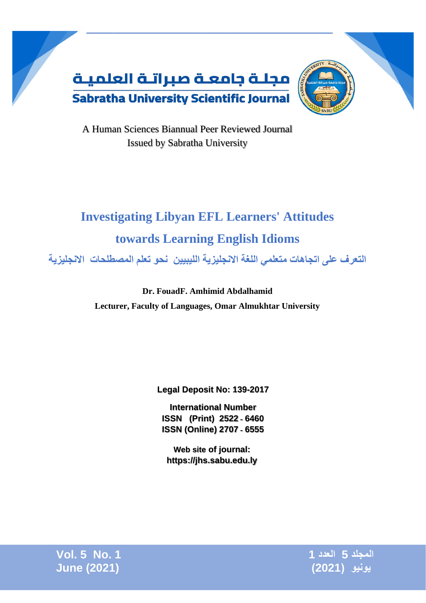

A Human Sciences Biannual Peer Reviewed Journal Issued by Sabratha University

# **Investigating Libyan EFL Learners' Attitudes towards Learning English Idioms**

**التعرف على اتجاهات متعلمي اللغة االنجليزية الليبيين نحو تعلم المصطلحات االنجليزية** 

**Dr. FouadF. Amhimid Abdalhamid Lecturer, Faculty of Languages, Omar Almukhtar University**

**Legal Deposit No: 139-2017**

**International Number ISSN (Print) 2522** ـ **6460 ISSN (Online) 2707** ـ **6555**

**Web site of journal: [https://jhs.sabu.edu.ly](https://jhs.sabu.edu.ly/index.php/hsjsu)**

**المجلد 5 العدد 1 1 .No 5 .Vol يونيو )2021( (2021) June**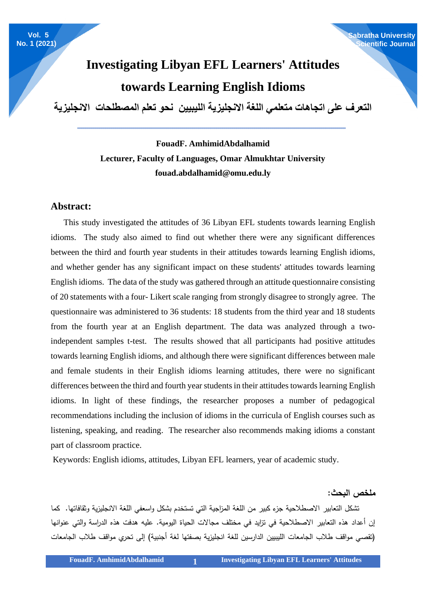#### **Sabratha University Scientific Journal**

## **Investigating Libyan EFL Learners' Attitudes towards Learning English Idioms**

**التعرف على اتجاهات متعلمي اللغة االنجليزية الليبيين نحو تعلم المصطلحات االنجليزية** 

**ـــــــــــــــــــــــــــــــــــــــــــــــــــــــــــــــــــــــــــــــــــــــــــــــــــــــــــــــــــــــــــــــــــــــ**

### **FouadF. AmhimidAbdalhamid Lecturer, Faculty of Languages, Omar Almukhtar University [fouad.abdalhamid@omu.edu.ly](mailto:fouad.abdalhamid@omu.edu.ly)**

#### **Abstract:**

 This study investigated the attitudes of 36 Libyan EFL students towards learning English idioms. The study also aimed to find out whether there were any significant differences between the third and fourth year students in their attitudes towards learning English idioms, and whether gender has any significant impact on these students' attitudes towards learning English idioms. The data of the study was gathered through an attitude questionnaire consisting of 20 statements with a four- Likert scale ranging from strongly disagree to strongly agree. The questionnaire was administered to 36 students: 18 students from the third year and 18 students from the fourth year at an English department. The data was analyzed through a twoindependent samples t-test. The results showed that all participants had positive attitudes towards learning English idioms, and although there were significant differences between male and female students in their English idioms learning attitudes, there were no significant differences between the third and fourth year students in their attitudes towards learning English idioms. In light of these findings, the researcher proposes a number of pedagogical recommendations including the inclusion of idioms in the curricula of English courses such as listening, speaking, and reading. The researcher also recommends making idioms a constant part of classroom practice.

Keywords: English idioms, attitudes, Libyan EFL learners, year of academic study.

**ملخص البحث:**

 تشكل التعابير االصطالحية جزء كبير من اللغة المزاجية التي تستخدم بشكل واسعفي اللغة االنجليزية وثقافاتها. كما إن أعداد هذه التعابير االصطالحية في تزايد في مختلف مجاالت الحياة اليومية. عليه هدفت هذه الدراسة والتي عنوانها )تقصي مواقف طالب الجامعات الليبيين الدارسين للغة انجليزية بصفتها لغة أجنبية( إلى تحري مواقف طالب الجامعات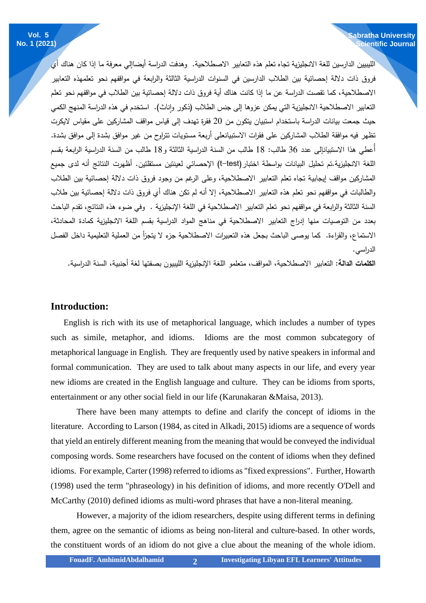الليبيين الدارسين للغة االنجليزية تجاه تعلم هذه التعابير االصطالحية. وهدفت الدراسة أيضاإلي معرفة ما إذا كان هناك أي فروق ذات داللة إحصائية بين الطالب الدارسين في السنوات الدراسية الثالثة والرابعة في مواقفهم نحو تعلمهذه التعابير االصطالحية، كما تقصت الدراسة عن ما إذا كانت هناك أية فروق ذات داللة إحصائية بين الطالب في مواقفهم نحو تعلم التعابير الاصطلاحية الانجليزية التي يمكن عزوها إلى جنس الطلاب (ذكور وإناث). استخدم في هذه الدراسة المنهج الكمي حيث جمعت بيانات الدراسة باستخدام استبيان يتكون من 20 فقرة تهدف إلى قياس مواقف المشاركين على مقياس اليكر ت تظهر فيه موافقة الطالب المشاركين على فقرات االستبيانعلى أربعة مستويات تتراوح من غير موافق بشدة إلى موافق بشدة. أُعطي هذا االستبيانإلى عدد 36 طالب: 18 طالب من السنة الدراسية الثالثة و18 طالب من السنة الدراسية الرابعة بقسم اللغة الانجليزية.تم تحليل البيانات بواسطة اختبار (t–test) الإحصائي لعينتين مستقلتين. أظهرت النتائج أنه لدى جميع المشاركين مواقف إيجابية تجاه تعلم التعابير االصطالحية، وعلى الرغم من وجود فروق ذات داللة إحصائية بين الطالب والطالبات في مواقفهم نحو تعلم هذه التعابير االصطالحية، إال أنه لم تكن هناك أي فروق ذات داللة إحصائية بين طالب السنة الثالثة والرابعة في مواقفهم نحو تعلم التعابير االصطالحية في اللغة اإلنجليزية . وفي ضوء هذه النتائج، تقدم الباحث بعدد من التوصيات منها إدراج التعابير االصطالحية في مناهج المواد الدراسية بقسم اللغة االنجليزية كمادة المحادثة، االستماع، والقراءة. كما يوصى الباحث بجعل هذه التعبيرات االصطالحية جزء ال يتجزأ من العملية التعليمية داخل الفصل الدراسي. **Sabratha University Scientific Journal**

**الكلمات الدالة:** التعابير االصطالحية، المواقف، متعلمو اللغة اإلنجليزية الليبيون بصفتها لغة أجنبية، السنة الدراسية.

#### **Introduction:**

 English is rich with its use of metaphorical language, which includes a number of types such as simile, metaphor, and idioms. Idioms are the most common subcategory of metaphorical language in English. They are frequently used by native speakers in informal and formal communication. They are used to talk about many aspects in our life, and every year new idioms are created in the English language and culture. They can be idioms from sports, entertainment or any other social field in our life (Karunakaran &Maisa, 2013).

There have been many attempts to define and clarify the concept of idioms in the literature. According to Larson (1984, as cited in Alkadi, 2015) idioms are a sequence of words that yield an entirely different meaning from the meaning that would be conveyed the individual composing words. Some researchers have focused on the content of idioms when they defined idioms. For example, Carter (1998) referred to idioms as "fixed expressions". Further, Howarth (1998) used the term "phraseology) in his definition of idioms, and more recently O'Dell and McCarthy (2010) defined idioms as multi-word phrases that have a non-literal meaning.

However, a majority of the idiom researchers, despite using different terms in defining them, agree on the semantic of idioms as being non-literal and culture-based. In other words, the constituent words of an idiom do not give a clue about the meaning of the whole idiom.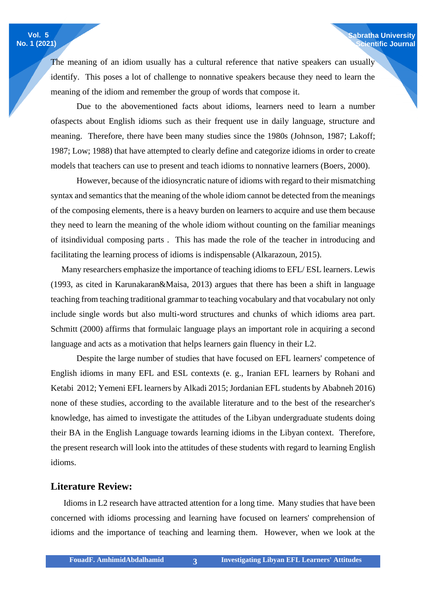The meaning of an idiom usually has a cultural reference that native speakers can usually identify. This poses a lot of challenge to nonnative speakers because they need to learn the meaning of the idiom and remember the group of words that compose it.

**Sabratha University Scientific Journal**

Due to the abovementioned facts about idioms, learners need to learn a number ofaspects about English idioms such as their frequent use in daily language, structure and meaning. Therefore, there have been many studies since the 1980s (Johnson, 1987; Lakoff; 1987; Low; 1988) that have attempted to clearly define and categorize idioms in order to create models that teachers can use to present and teach idioms to nonnative learners (Boers, 2000).

However, because of the idiosyncratic nature of idioms with regard to their mismatching syntax and semantics that the meaning of the whole idiom cannot be detected from the meanings of the composing elements, there is a heavy burden on learners to acquire and use them because they need to learn the meaning of the whole idiom without counting on the familiar meanings of itsindividual composing parts . This has made the role of the teacher in introducing and facilitating the learning process of idioms is indispensable (Alkarazoun, 2015).

 Many researchers emphasize the importance of teaching idioms to EFL/ ESL learners. Lewis (1993, as cited in Karunakaran&Maisa, 2013) argues that there has been a shift in language teaching from teaching traditional grammar to teaching vocabulary and that vocabulary not only include single words but also multi-word structures and chunks of which idioms area part. Schmitt (2000) affirms that formulaic language plays an important role in acquiring a second language and acts as a motivation that helps learners gain fluency in their L2.

Despite the large number of studies that have focused on EFL learners' competence of English idioms in many EFL and ESL contexts (e. g., Iranian EFL learners by Rohani and Ketabi 2012; Yemeni EFL learners by Alkadi 2015; Jordanian EFL students by Ababneh 2016) none of these studies, according to the available literature and to the best of the researcher's knowledge, has aimed to investigate the attitudes of the Libyan undergraduate students doing their BA in the English Language towards learning idioms in the Libyan context. Therefore, the present research will look into the attitudes of these students with regard to learning English idioms.

#### **Literature Review:**

 Idioms in L2 research have attracted attention for a long time. Many studies that have been concerned with idioms processing and learning have focused on learners' comprehension of idioms and the importance of teaching and learning them. However, when we look at the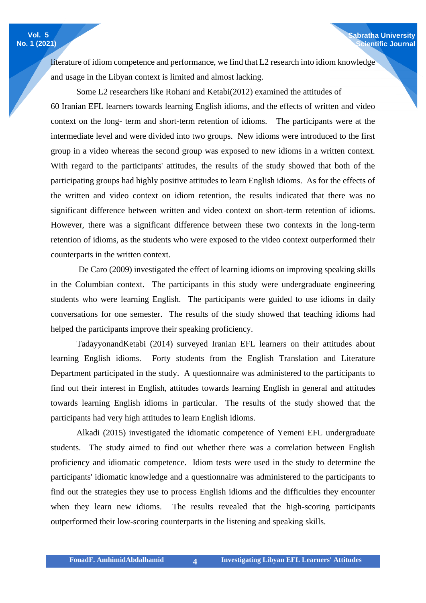literature of idiom competence and performance, we find that L2 research into idiom knowledge and usage in the Libyan context is limited and almost lacking.

**Sabratha University Scientific Journal**

Some L2 researchers like Rohani and Ketabi(2012) examined the attitudes of 60 Iranian EFL learners towards learning English idioms, and the effects of written and video context on the long- term and short-term retention of idioms. The participants were at the intermediate level and were divided into two groups. New idioms were introduced to the first group in a video whereas the second group was exposed to new idioms in a written context. With regard to the participants' attitudes, the results of the study showed that both of the participating groups had highly positive attitudes to learn English idioms. As for the effects of the written and video context on idiom retention, the results indicated that there was no significant difference between written and video context on short-term retention of idioms. However, there was a significant difference between these two contexts in the long-term retention of idioms, as the students who were exposed to the video context outperformed their counterparts in the written context.

De Caro (2009) investigated the effect of learning idioms on improving speaking skills in the Columbian context. The participants in this study were undergraduate engineering students who were learning English. The participants were guided to use idioms in daily conversations for one semester. The results of the study showed that teaching idioms had helped the participants improve their speaking proficiency.

TadayyonandKetabi (2014) surveyed Iranian EFL learners on their attitudes about learning English idioms. Forty students from the English Translation and Literature Department participated in the study. A questionnaire was administered to the participants to find out their interest in English, attitudes towards learning English in general and attitudes towards learning English idioms in particular. The results of the study showed that the participants had very high attitudes to learn English idioms.

Alkadi (2015) investigated the idiomatic competence of Yemeni EFL undergraduate students. The study aimed to find out whether there was a correlation between English proficiency and idiomatic competence. Idiom tests were used in the study to determine the participants' idiomatic knowledge and a questionnaire was administered to the participants to find out the strategies they use to process English idioms and the difficulties they encounter when they learn new idioms. The results revealed that the high-scoring participants outperformed their low-scoring counterparts in the listening and speaking skills.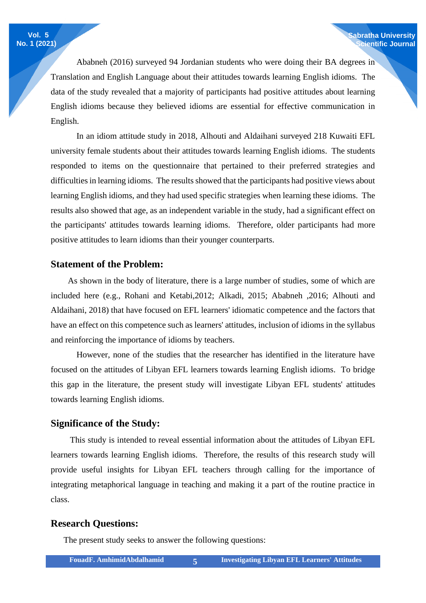Ababneh (2016) surveyed 94 Jordanian students who were doing their BA degrees in Translation and English Language about their attitudes towards learning English idioms. The data of the study revealed that a majority of participants had positive attitudes about learning English idioms because they believed idioms are essential for effective communication in English.

In an idiom attitude study in 2018, Alhouti and Aldaihani surveyed 218 Kuwaiti EFL university female students about their attitudes towards learning English idioms. The students responded to items on the questionnaire that pertained to their preferred strategies and difficulties in learning idioms. The results showed that the participants had positive views about learning English idioms, and they had used specific strategies when learning these idioms. The results also showed that age, as an independent variable in the study, had a significant effect on the participants' attitudes towards learning idioms. Therefore, older participants had more positive attitudes to learn idioms than their younger counterparts.

#### **Statement of the Problem:**

 As shown in the body of literature, there is a large number of studies, some of which are included here (e.g., Rohani and Ketabi,2012; Alkadi, 2015; Ababneh ,2016; Alhouti and Aldaihani, 2018) that have focused on EFL learners' idiomatic competence and the factors that have an effect on this competence such as learners' attitudes, inclusion of idioms in the syllabus and reinforcing the importance of idioms by teachers.

However, none of the studies that the researcher has identified in the literature have focused on the attitudes of Libyan EFL learners towards learning English idioms. To bridge this gap in the literature, the present study will investigate Libyan EFL students' attitudes towards learning English idioms.

#### **Significance of the Study:**

 This study is intended to reveal essential information about the attitudes of Libyan EFL learners towards learning English idioms. Therefore, the results of this research study will provide useful insights for Libyan EFL teachers through calling for the importance of integrating metaphorical language in teaching and making it a part of the routine practice in class.

#### **Research Questions:**

The present study seeks to answer the following questions: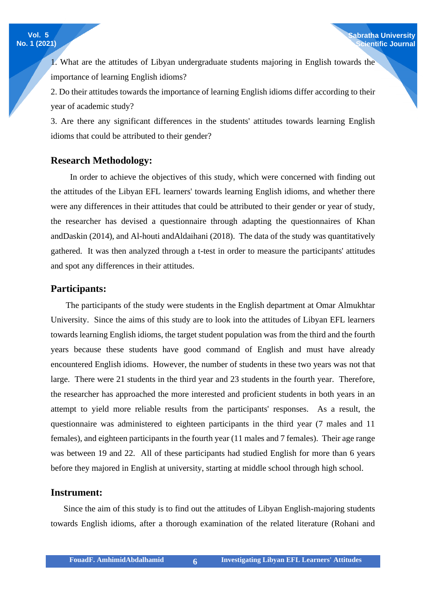1. What are the attitudes of Libyan undergraduate students majoring in English towards the importance of learning English idioms?

2. Do their attitudes towards the importance of learning English idioms differ according to their year of academic study?

3. Are there any significant differences in the students' attitudes towards learning English idioms that could be attributed to their gender?

#### **Research Methodology:**

 In order to achieve the objectives of this study, which were concerned with finding out the attitudes of the Libyan EFL learners' towards learning English idioms, and whether there were any differences in their attitudes that could be attributed to their gender or year of study, the researcher has devised a questionnaire through adapting the questionnaires of Khan andDaskin (2014), and Al-houti andAldaihani (2018). The data of the study was quantitatively gathered. It was then analyzed through a t-test in order to measure the participants' attitudes and spot any differences in their attitudes.

#### **Participants:**

 The participants of the study were students in the English department at Omar Almukhtar University. Since the aims of this study are to look into the attitudes of Libyan EFL learners towards learning English idioms, the target student population was from the third and the fourth years because these students have good command of English and must have already encountered English idioms. However, the number of students in these two years was not that large. There were 21 students in the third year and 23 students in the fourth year. Therefore, the researcher has approached the more interested and proficient students in both years in an attempt to yield more reliable results from the participants' responses. As a result, the questionnaire was administered to eighteen participants in the third year (7 males and 11 females), and eighteen participants in the fourth year (11 males and 7 females). Their age range was between 19 and 22. All of these participants had studied English for more than 6 years before they majored in English at university, starting at middle school through high school.

#### **Instrument:**

 Since the aim of this study is to find out the attitudes of Libyan English-majoring students towards English idioms, after a thorough examination of the related literature (Rohani and

**Vol. 5 No. 1 (2021)**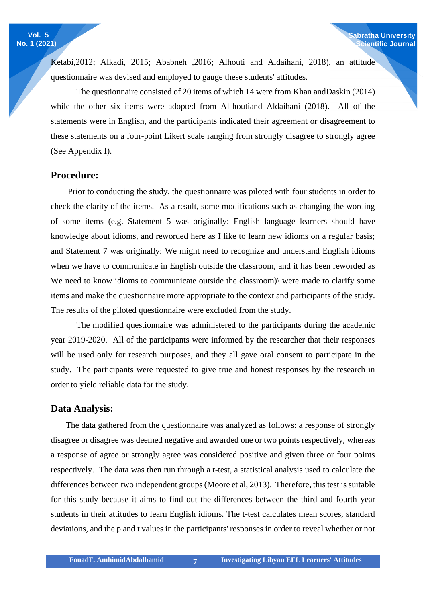Ketabi,2012; Alkadi, 2015; Ababneh ,2016; Alhouti and Aldaihani, 2018), an attitude questionnaire was devised and employed to gauge these students' attitudes.

**Sabratha University Scientific Journal**

The questionnaire consisted of 20 items of which 14 were from Khan andDaskin (2014) while the other six items were adopted from Al-houtiand Aldaihani (2018). All of the statements were in English, and the participants indicated their agreement or disagreement to these statements on a four-point Likert scale ranging from strongly disagree to strongly agree (See Appendix I).

#### **Procedure:**

 Prior to conducting the study, the questionnaire was piloted with four students in order to check the clarity of the items. As a result, some modifications such as changing the wording of some items (e.g. Statement 5 was originally: English language learners should have knowledge about idioms, and reworded here as I like to learn new idioms on a regular basis; and Statement 7 was originally: We might need to recognize and understand English idioms when we have to communicate in English outside the classroom, and it has been reworded as We need to know idioms to communicate outside the classroom) were made to clarify some items and make the questionnaire more appropriate to the context and participants of the study. The results of the piloted questionnaire were excluded from the study.

The modified questionnaire was administered to the participants during the academic year 2019-2020. All of the participants were informed by the researcher that their responses will be used only for research purposes, and they all gave oral consent to participate in the study. The participants were requested to give true and honest responses by the research in order to yield reliable data for the study.

#### **Data Analysis:**

 The data gathered from the questionnaire was analyzed as follows: a response of strongly disagree or disagree was deemed negative and awarded one or two points respectively, whereas a response of agree or strongly agree was considered positive and given three or four points respectively. The data was then run through a t-test, a statistical analysis used to calculate the differences between two independent groups (Moore et al, 2013). Therefore, this test is suitable for this study because it aims to find out the differences between the third and fourth year students in their attitudes to learn English idioms. The t-test calculates mean scores, standard deviations, and the p and t values in the participants' responses in order to reveal whether or not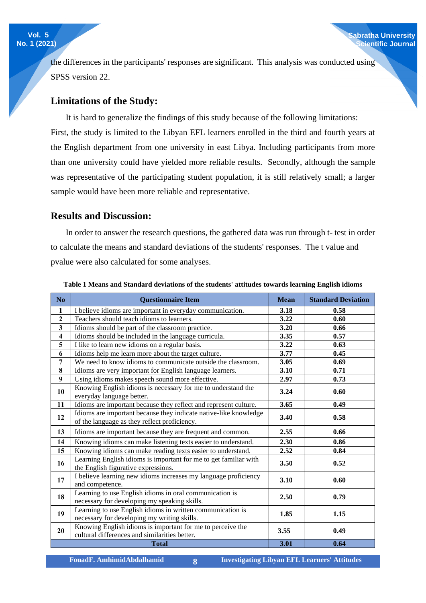the differences in the participants' responses are significant. This analysis was conducted using SPSS version 22.

#### **Limitations of the Study:**

 It is hard to generalize the findings of this study because of the following limitations: First, the study is limited to the Libyan EFL learners enrolled in the third and fourth years at the English department from one university in east Libya. Including participants from more than one university could have yielded more reliable results. Secondly, although the sample was representative of the participating student population, it is still relatively small; a larger sample would have been more reliable and representative.

#### **Results and Discussion:**

 In order to answer the research questions, the gathered data was run through t- test in order to calculate the means and standard deviations of the students' responses. The t value and pvalue were also calculated for some analyses.

| N <sub>o</sub>          | <b>Questionnaire Item</b>                                                                                        | <b>Mean</b> | <b>Standard Deviation</b> |  |
|-------------------------|------------------------------------------------------------------------------------------------------------------|-------------|---------------------------|--|
| $\mathbf{1}$            | I believe idioms are important in everyday communication.                                                        | 3.18        | 0.58                      |  |
| $\mathbf{2}$            | Teachers should teach idioms to learners.                                                                        | 3.22        | 0.60                      |  |
| 3                       | Idioms should be part of the classroom practice.                                                                 | 3.20        | 0.66                      |  |
| $\overline{\mathbf{4}}$ | Idioms should be included in the language curricula.                                                             | 3.35        | 0.57                      |  |
| 5                       | I like to learn new idioms on a regular basis.                                                                   | 3.22        | 0.63                      |  |
| 6                       | Idioms help me learn more about the target culture.                                                              | 3.77        | 0.45                      |  |
| 7                       | We need to know idioms to communicate outside the classroom.                                                     | 3.05        | 0.69                      |  |
| 8                       | Idioms are very important for English language learners.                                                         | 3.10        | 0.71                      |  |
| 9                       | Using idioms makes speech sound more effective.                                                                  | 2.97        | 0.73                      |  |
| 10                      | Knowing English idioms is necessary for me to understand the<br>everyday language better.                        | 3.24        | 0.60                      |  |
| 11                      | Idioms are important because they reflect and represent culture.                                                 | 3.65        | 0.49                      |  |
| 12                      | Idioms are important because they indicate native-like knowledge<br>of the language as they reflect proficiency. | 3.40        | 0.58                      |  |
| 13                      | Idioms are important because they are frequent and common.                                                       | 2.55        | 0.66                      |  |
| 14                      | Knowing idioms can make listening texts easier to understand.                                                    | 2.30        | 0.86                      |  |
| 15                      | Knowing idioms can make reading texts easier to understand.                                                      | 2.52        | 0.84                      |  |
| 16                      | Learning English idioms is important for me to get familiar with<br>the English figurative expressions.          | 3.50        | 0.52                      |  |
| 17                      | I believe learning new idioms increases my language proficiency<br>and competence.                               | 3.10        | 0.60                      |  |
| 18                      | Learning to use English idioms in oral communication is<br>necessary for developing my speaking skills.          | 2.50        | 0.79                      |  |
| 19                      | Learning to use English idioms in written communication is<br>necessary for developing my writing skills.        | 1.85        | 1.15                      |  |
| 20                      | Knowing English idioms is important for me to perceive the<br>cultural differences and similarities better.      | 3.55        | 0.49                      |  |
|                         | <b>Total</b>                                                                                                     | 3.01        | 0.64                      |  |

**Table 1 Means and Standard deviations of the students' attitudes towards learning English idioms**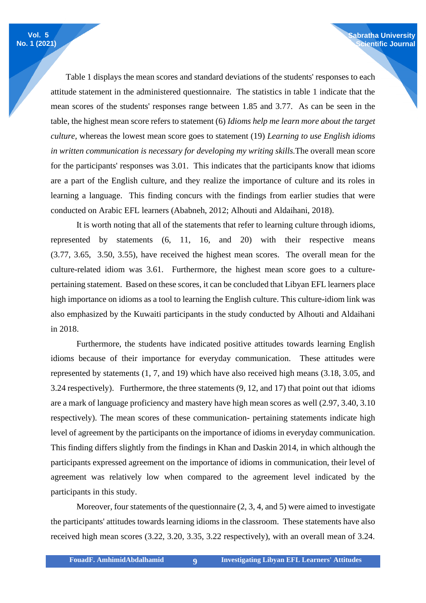Table 1 displays the mean scores and standard deviations of the students' responses to each attitude statement in the administered questionnaire. The statistics in table 1 indicate that the mean scores of the students' responses range between 1.85 and 3.77. As can be seen in the table, the highest mean score refers to statement (6) *Idioms help me learn more about the target culture,* whereas the lowest mean score goes to statement (19) *Learning to use English idioms in written communication is necessary for developing my writing skills.*The overall mean score for the participants' responses was 3.01. This indicates that the participants know that idioms are a part of the English culture, and they realize the importance of culture and its roles in learning a language. This finding concurs with the findings from earlier studies that were conducted on Arabic EFL learners (Ababneh, 2012; Alhouti and Aldaihani, 2018).

**Sabratha University Scientific Journal**

It is worth noting that all of the statements that refer to learning culture through idioms, represented by statements (6, 11, 16, and 20) with their respective means (3.77, 3.65, 3.50, 3.55), have received the highest mean scores. The overall mean for the culture-related idiom was 3.61. Furthermore, the highest mean score goes to a culturepertaining statement. Based on these scores, it can be concluded that Libyan EFL learners place high importance on idioms as a tool to learning the English culture. This culture-idiom link was also emphasized by the Kuwaiti participants in the study conducted by Alhouti and Aldaihani in 2018.

Furthermore, the students have indicated positive attitudes towards learning English idioms because of their importance for everyday communication. These attitudes were represented by statements (1, 7, and 19) which have also received high means (3.18, 3.05, and 3.24 respectively). Furthermore, the three statements (9, 12, and 17) that point out that idioms are a mark of language proficiency and mastery have high mean scores as well (2.97, 3.40, 3.10 respectively). The mean scores of these communication- pertaining statements indicate high level of agreement by the participants on the importance of idioms in everyday communication. This finding differs slightly from the findings in Khan and Daskin 2014, in which although the participants expressed agreement on the importance of idioms in communication, their level of agreement was relatively low when compared to the agreement level indicated by the participants in this study.

Moreover, four statements of the questionnaire (2, 3, 4, and 5) were aimed to investigate the participants' attitudes towards learning idioms in the classroom. These statements have also received high mean scores (3.22, 3.20, 3.35, 3.22 respectively), with an overall mean of 3.24.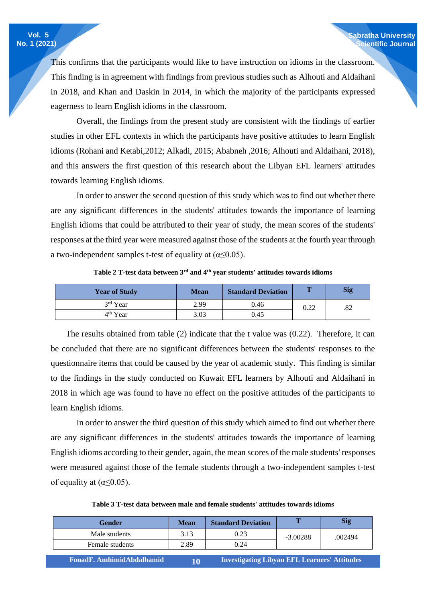This confirms that the participants would like to have instruction on idioms in the classroom. This finding is in agreement with findings from previous studies such as Alhouti and Aldaihani in 2018, and Khan and Daskin in 2014, in which the majority of the participants expressed eagerness to learn English idioms in the classroom.

Overall, the findings from the present study are consistent with the findings of earlier studies in other EFL contexts in which the participants have positive attitudes to learn English idioms (Rohani and Ketabi,2012; Alkadi, 2015; Ababneh ,2016; Alhouti and Aldaihani, 2018), and this answers the first question of this research about the Libyan EFL learners' attitudes towards learning English idioms.

In order to answer the second question of this study which was to find out whether there are any significant differences in the students' attitudes towards the importance of learning English idioms that could be attributed to their year of study, the mean scores of the students' responses at the third year were measured against those of the students at the fourth year through a two-independent samples t-test of equality at ( $\alpha \leq 0.05$ ).

| <b>Year of Study</b> | <b>Mean</b> | <b>Standard Deviation</b> | Т    | <b>Sig</b> |
|----------------------|-------------|---------------------------|------|------------|
| 3rd Year             | 2.99        | 0.46                      | 0.22 | .82        |
| 4 <sup>th</sup> Year | 3.03        | 0.45                      |      |            |

Table 2 T-test data between 3<sup>rd</sup> and 4<sup>th</sup> year students' attitudes towards idioms

 The results obtained from table (2) indicate that the t value was (0.22). Therefore, it can be concluded that there are no significant differences between the students' responses to the questionnaire items that could be caused by the year of academic study. This finding is similar to the findings in the study conducted on Kuwait EFL learners by Alhouti and Aldaihani in 2018 in which age was found to have no effect on the positive attitudes of the participants to learn English idioms.

In order to answer the third question of this study which aimed to find out whether there are any significant differences in the students' attitudes towards the importance of learning English idioms according to their gender, again, the mean scores of the male students' responses were measured against those of the female students through a two-independent samples t-test of equality at  $(\alpha \leq 0.05)$ .

| <b>Gender</b>             | <b>Mean</b> | <b>Standard Deviation</b>                           |            | <b>Sig</b> |  |
|---------------------------|-------------|-----------------------------------------------------|------------|------------|--|
| Male students             | 3.13        | 0.23                                                | $-3.00288$ | .002494    |  |
| Female students           | 2.89        | 0.24                                                |            |            |  |
| FouadF. AmhimidAbdalhamid | 10          | <b>Investigating Libyan EFL Learners' Attitudes</b> |            |            |  |

**Table 3 T-test data between male and female students' attitudes towards idioms**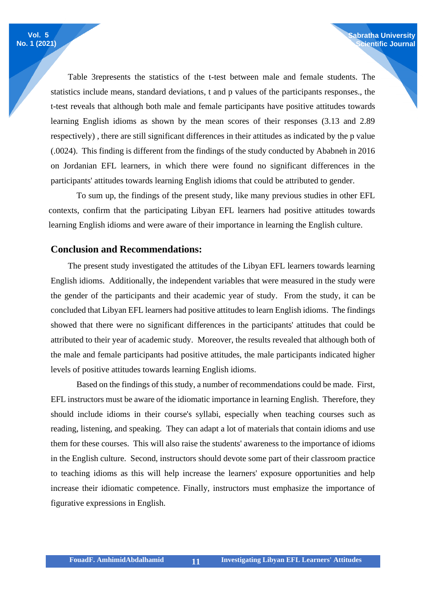Table 3represents the statistics of the t-test between male and female students. The statistics include means, standard deviations, t and p values of the participants responses., the t-test reveals that although both male and female participants have positive attitudes towards learning English idioms as shown by the mean scores of their responses (3.13 and 2.89 respectively) , there are still significant differences in their attitudes as indicated by the p value (.0024). This finding is different from the findings of the study conducted by Ababneh in 2016 on Jordanian EFL learners, in which there were found no significant differences in the participants' attitudes towards learning English idioms that could be attributed to gender.

**Sabratha University Scientific Journal**

To sum up, the findings of the present study, like many previous studies in other EFL contexts, confirm that the participating Libyan EFL learners had positive attitudes towards learning English idioms and were aware of their importance in learning the English culture.

#### **Conclusion and Recommendations:**

 The present study investigated the attitudes of the Libyan EFL learners towards learning English idioms. Additionally, the independent variables that were measured in the study were the gender of the participants and their academic year of study. From the study, it can be concluded that Libyan EFL learners had positive attitudes to learn English idioms. The findings showed that there were no significant differences in the participants' attitudes that could be attributed to their year of academic study. Moreover, the results revealed that although both of the male and female participants had positive attitudes, the male participants indicated higher levels of positive attitudes towards learning English idioms.

Based on the findings of this study, a number of recommendations could be made. First, EFL instructors must be aware of the idiomatic importance in learning English. Therefore, they should include idioms in their course's syllabi, especially when teaching courses such as reading, listening, and speaking. They can adapt a lot of materials that contain idioms and use them for these courses. This will also raise the students' awareness to the importance of idioms in the English culture. Second, instructors should devote some part of their classroom practice to teaching idioms as this will help increase the learners' exposure opportunities and help increase their idiomatic competence. Finally, instructors must emphasize the importance of figurative expressions in English.